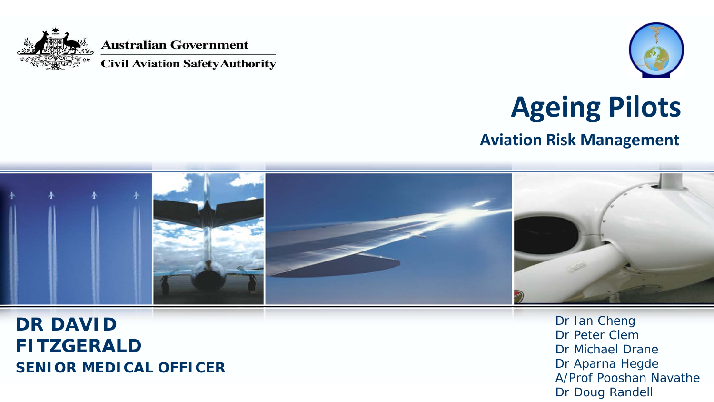

**Australian Government** 

**Civil Aviation Safety Authority** 



### **Ageing Pilots**

**Aviation Risk Management**



**DR DAVID FITZGERALD SENIOR MEDICAL OFFICER** Dr Ian Cheng Dr Peter Clem Dr Michael Drane Dr Aparna Hegde A/Prof Pooshan Navathe Dr Doug Randell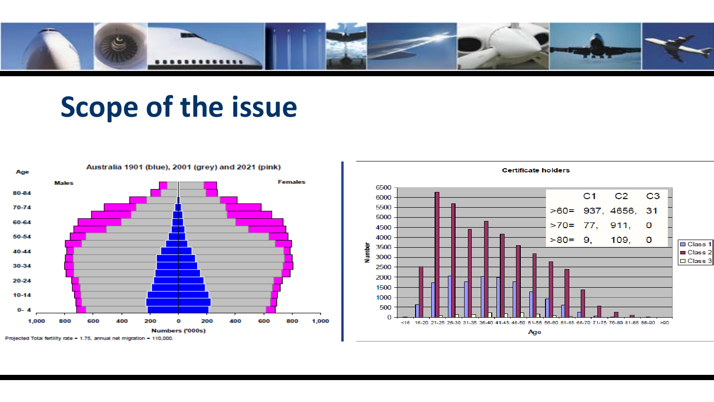

#### **Scope of the issue**



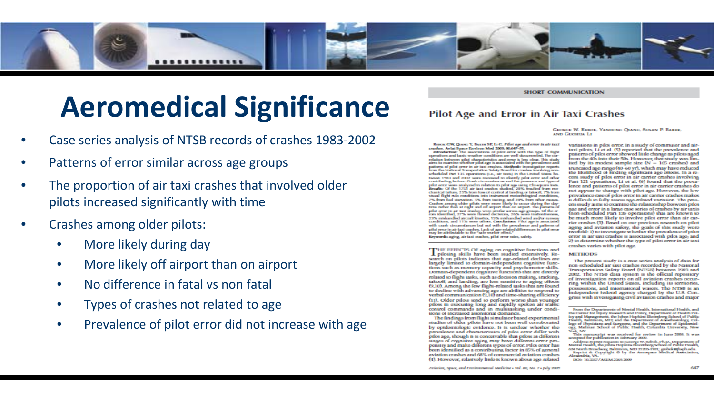

#### **Aeromedical Significance**

- Case series analysis of NTSB records of crashes 1983-2002
- Patterns of error similar across age groups
- The proportion of air taxi crashes that involved older pilots increased significantly with time
- Crashes among older pilots:
	- More likely during day
	- More likely off airport than on airport
	- No difference in fatal vs non fatal
	- Types of crashes not related to age
	- Prevalence of pilot error did not increase with age

#### **Pilot Age and Error in Air Taxi Crashes**

**SHORT COMMUNICATION** 

GEORGE W. REBOK, YANDONG OLANG, SUSAN P. BAKER,

RIBOR GW, QUARE Y, BARIS SP, Li G. Pilot age and error in air taxi crashes. Aviat Space Environ Med 2009; 80:647-51.

Introduction: The associations of pilot error with the type of flight operations and basic weather conditions are well documented. The correlation between pilot characteristics and error is less clear. This study aims to examine whether pilot age is associated with the prevalence and<br>patterns of pilot error in air taxi crashes. Methods: investigation reports<br>from the National Tomportation Safety Board for crashes involving nonscheduled Part 135 operations (i.e., air taxis) in the United States betwo in 1983 and 2002 were reviewed to identify pilot error and other<br>contributing factors. Crash circumstances and the presence and type of pilot arms were analyzed in relation to pilot age using Chi-square tests.<br>Results: Of the 1751 air taxi crashes studied, 28% resulted from mechanteal failure, 25% from low of control at landing or takeoff, 7% from<br>visual flight rule conditions into instrument meteorological conditions, 7% from fuel standition, 5% from texting, and 20% from other causes. 7% from host starsations, 3% from facting, and 20% from other causes.<br>Cookine among older pilots were more likely to occur during the day-<br>time rather than at night and off airport than on airport. The patterns of<br>pilot re 22% midwedled aircraft kinetics, 15% midwedled wind and/or runway condition, and 11% were others. Conclusions: Plot age is associate with enab circumstances but not with the procedures and patterns of pilot orror in air bat crashes. Lack of ago-related differences in pilot orror may be attributable to the "sale worker effect." Keywords: aging, air-taxi crashes, pilot error rates, safety.

THE EFFECTS OF aging on cognitive functions and<br>piloting skills have been studied extensively. Research on pilots indicates that age-related declines are<br>largely limited to domain-independent cognitive functions such as memory capacity and psychomotor skills. Domain-dependent cognitive functions that are directly related to flight tasks, such as decision making, tracking, takeoff, and landing, are less sensitive to aging effects (9,10). Among the few flight-related tasks that are found to decline with advancing age are abilities to respond to verbal communication (9,10) and time-sharing efficiency (11). Older pilots tend to perform worse than younger pilots in executing long and rapidly spoken air traffic control commands and in multitasking under conditions of increased attentional demands.

The findings from flight simulator based experimental studies of older pilots have not been well corroborated by epidemiologic evidence. It is unclear whether the prevalence and characteristics of pilot error differ with<br>pilot age, though it is conceivable that pilots at different stages of cognitive aging may have different error propensity and make different types of error. Pilot error has been identified as a contributing factor in 85% of general aviation crashes and 68% of commercial aviation crashes (4). However, relatively little is known about age-related

axen Company La

variations in pilot error. In a study of commuter and airtaxi pilots, Li et al. (5) reported that the prevalence and patterns of pilot error showed little change as pilots aged from the 40s into their 50s. However, that study was limited by its modest sample size  $(N - 165 \text{ crashes})$  and truncated age range (40-60 yr), which may have reduced the likelihood of finding stenificant age effects. In a recent study of pilot error in air carrier crashes involving Part 121 operations, Li et al. (6) found that the prevalence and patterns of pilot error in air carrier crashes do not appear to change with pilot age. However, the low prevalence rate of pilot error in air carrier crashes makes it difficult to fully assess age-related variation. The present study aims to examine the relationship between pilot age and error in a large case series of crashes by air jaxis (non-scheduled Part 135 operations) that are known to be much more likely to involve pilot error than air carrier crashes (3). Based on our previous research on pilot aging and aviation safety, the goals of this study were twofold: 1) to investigate whether the prevalence of pilot error in air taxi crashes is associated with pilot age; and 2) to determine whether the type of pilot error in air taxi crashes varies with pilot age.

#### **METHODS**

The present study is a case series analysis of data for non-scheduled air taxi crashes recorded by the National Transportation Safety Board (NTSB) between 1983 and 2002. The NTSB data system is the official repository of investigation reports on all aviation crashes occurring within the United States, including its territories, possessions, and international waters. The NTSB is an independent federal agency charged by the U.S. Congress with investigating civil aviation crashes and major

Aviation, Space, and Environmental Medicine - Vol. 80, No. 7 - July 2009

From the Departments of Mental Health, International Health, and the Center for Injury Research and Policy, Department of Health Policy and Maragement, the Johns Hopkins Bloomberg School of Public<br>Health, Baltimore, MD; and the Department of Amerikaniology, Colresume community and Surgeons, and the Department of Epidemiology, Matiman School of Public Health, Columbia University, New Work, NYC

This manuscript was mestved for roviow in June 2008. It was accepted for publication in February 2009.

Address reprint requests to: George W. Rebok, Ph.D., Department of<br>Mental Health, the Johns Hopkins Hoomberg School of Public Health, 624 North Broadway, Baltimore, MD 21205-1901; grabulous lisprint at Copyright O by the Aestaques Medical Association, Alexandria, VA. DOI: 10.3357 ASEM 2369.2009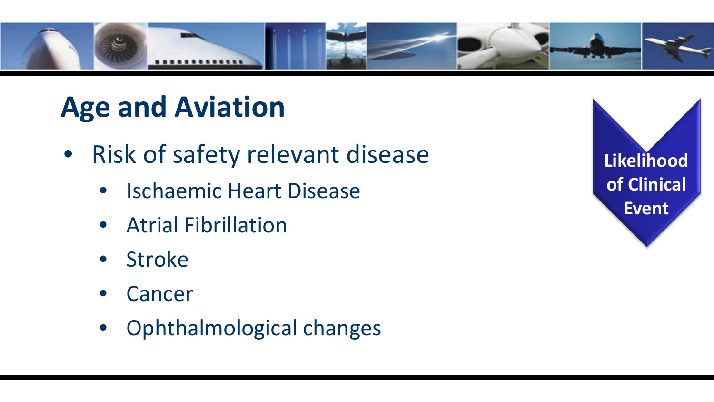

### **Age and Aviation**

- Risk of safety relevant disease
	- Ischaemic Heart Disease
	- Atrial Fibrillation
	- **Stroke**
	- **Cancer**
	- Ophthalmological changes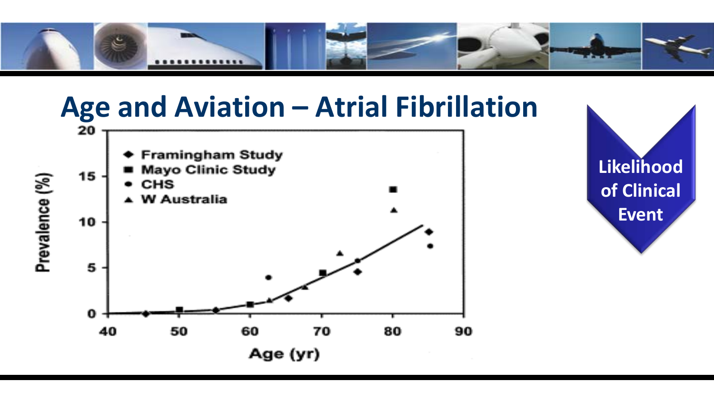

## **Age and Aviation – Atrial Fibrillation**

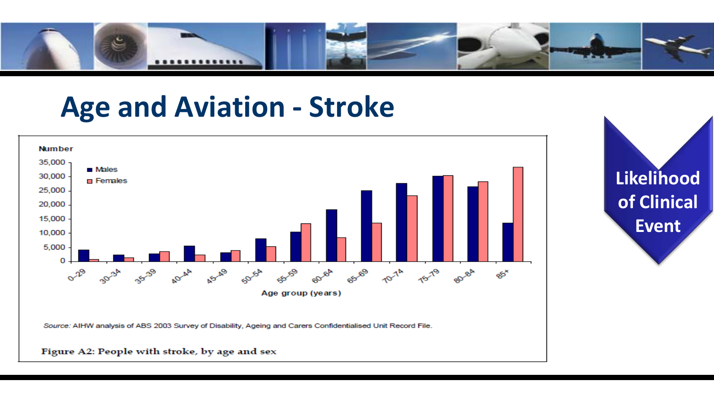

#### **Age and Aviation - Stroke**

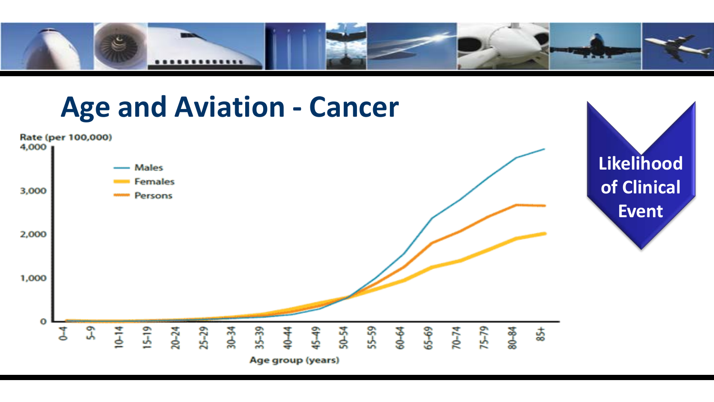

#### **Age and Aviation - Cancer**

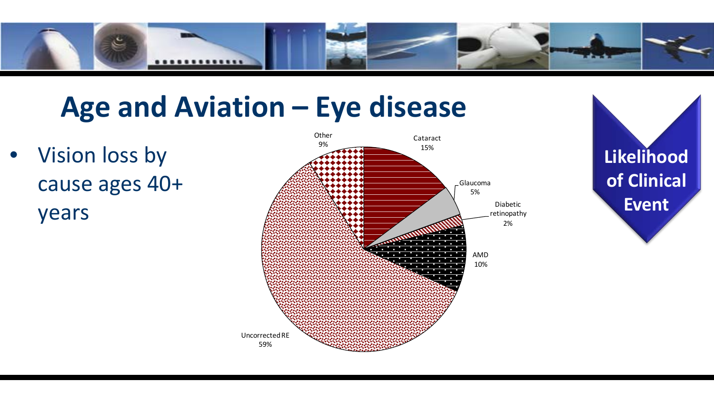

#### **Age and Aviation – Eye disease**

• Vision loss by cause ages 40+ years



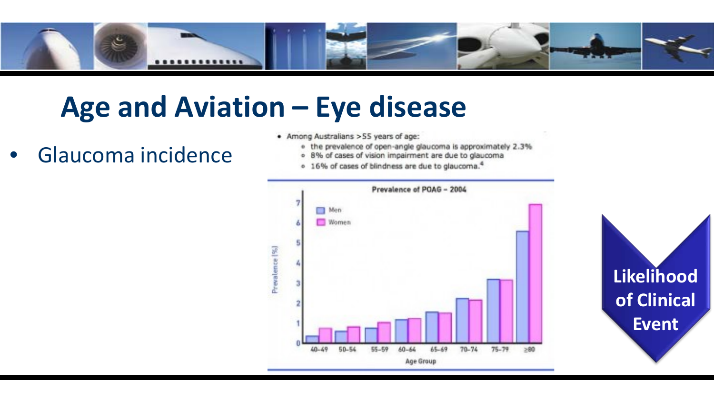

### **Age and Aviation – Eye disease**

- Glaucoma incidence
- Among Australians > S5 years of age:
	- o the prevalence of open-angle glaucoma is approximately 2.3%
	- · 8% of cases of vision impairment are due to glaucoma
	- o 16% of cases of blindness are due to glaucoma.<sup>4</sup>



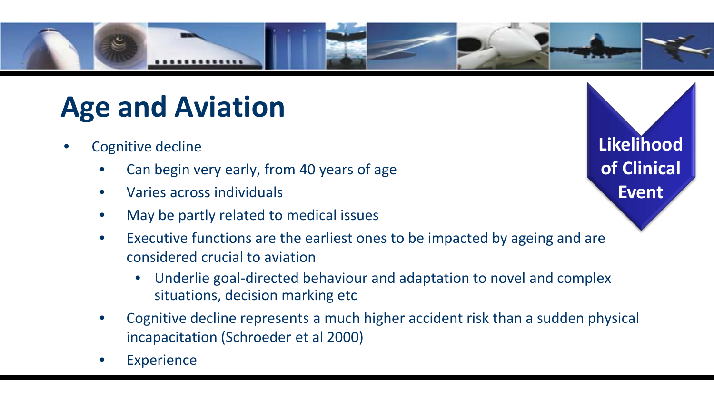

### **Age and Aviation**

- Cognitive decline
	- Can begin very early, from 40 years of age
	- Varies across individuals
	- May be partly related to medical issues
	- Executive functions are the earliest ones to be impacted by ageing and are considered crucial to aviation
		- Underlie goal-directed behaviour and adaptation to novel and complex situations, decision marking etc
	- Cognitive decline represents a much higher accident risk than a sudden physical incapacitation (Schroeder et al 2000)
	- **Experience**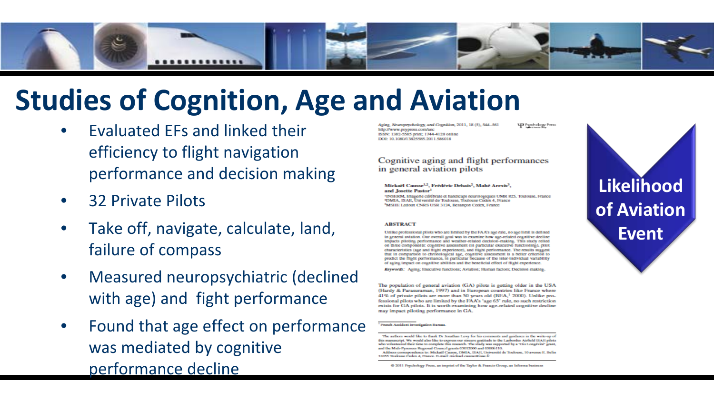

#### **Studies of Cognition, Age and Aviation**

- Evaluated EFs and linked their efficiency to flight navigation performance and decision making
- 32 Private Pilots
- Take off, navigate, calculate, land, failure of compass
- Measured neuropsychiatric (declined with age) and fight performance
- Found that age effect on performance was mediated by cognitive performance decline

Aging, Neuropsychology, and Cognition, 2011, 18 (5), 544-561 http://www.psypress.com/anc ISSN: 1382-5585 origi: 1744-4128 online DOI: 10.1080/13825585.2011.586018

P Psychology Press

#### Cognitive aging and flight performances in general aviation pilots

#### Mickaël Causse<sup>1,2</sup>, Frédéric Dehais<sup>2</sup>, Mahé Arexis<sup>3</sup>, and Josette Pastor<sup>1</sup>

'INSERM, Imagene cérébrale et handicaps neurologiques UMR 825, Toulouse, France <sup>3</sup>DMIA, ISAE, Université de Toulouse, Toulouse Cedex 4, France 'MSHE Ledoux CNRS USR 3124, Besançon Cedex, France

#### **ABSTRACT**

Unlike professional pilots who are limited by the FAA's age rule, no age limit is defined in general aviation. Our overall goal was to examine how age-related cognitive decline impacts piloting performance and weather-related decision-making. This study relied on three components: cognitive assessment (in particular executive functioning), pilot characteristics (age and flight experience), and flight performance. The results suggest that in comparison to chronological age, cognitive assessment is a better criterion to predict the flight performance, in particular because of the inter-individual variability of aging impact on cognitive abilities and the beneficial effect of flight experience.

Keywords: Aging; Executive functions; Aviation; Human factors; Decision making,

The population of general aviation (GA) pilots is getting older in the USA (Hardy & Parasuraman, 1997) and in European countries like France where 41% of private pilots are more than 50 years old (BEA,<sup>1</sup> 2000). Unlike professional pilots who are limited by the FAA's 'age 65' rule, no such restriction exists for GA pilots. It is worth examining how age-related cognitive decline may impact piloting performance in GA.

<sup>1</sup> Prench Accident Investigation Bureau.

@ 2011 Psychology Press, an imprint of the Taylor & Prancis Group, an Informa business



The authors would like to thank Dr Jonathan Levy for his comments and guidance in the write-up of this manuscript. We would also like to express our sincere aratitude to the Lasbordes Airfield ISAR pilots who volunteered their time to complete this research. The study was supported by a 'Cis Longevité' grant and the Midi-Pyrenoes Regional Council grants 03012000 and 05006110. ence to: Mickaël Causse, DMIA, ISAE, Université de Address o

<sup>31055</sup> Toulouse Cadex 4, Prance. H-mail: mickael.causos@isae.fr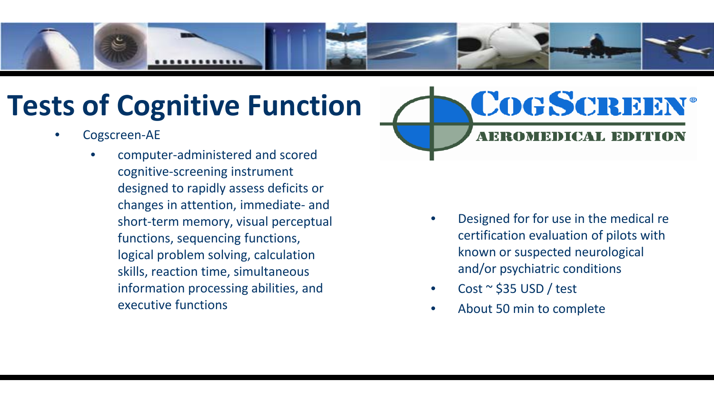

### **Tests of Cognitive Function**

- Cogscreen-AE
	- computer-administered and scored cognitive-screening instrument designed to rapidly assess deficits or changes in attention, immediate- and short-term memory, visual perceptual functions, sequencing functions, logical problem solving, calculation skills, reaction time, simultaneous information processing abilities, and executive functions



- Designed for for use in the medical re certification evaluation of pilots with known or suspected neurological and/or psychiatric conditions
- Cost  $\sim$  \$35 USD / test
- About 50 min to complete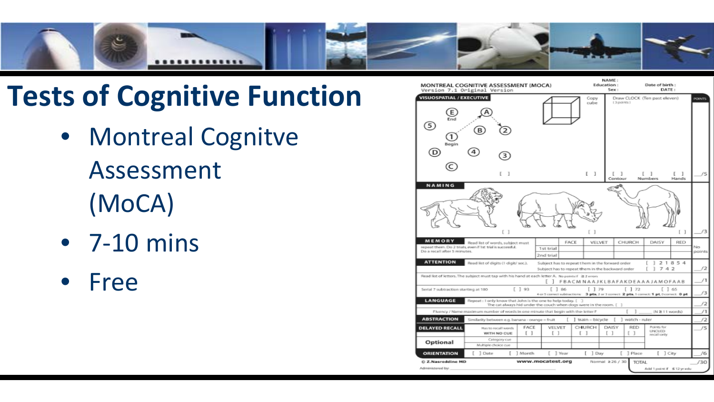

#### **Tests of Cognitive Function**

- Montreal Cognitve Assessment (MoCA)
- 7-10 mins
- Free

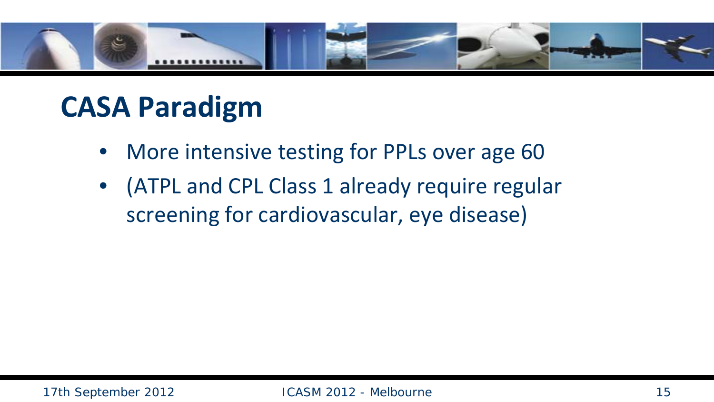

#### **CASA Paradigm**

- More intensive testing for PPLs over age 60
- (ATPL and CPL Class 1 already require regular screening for cardiovascular, eye disease)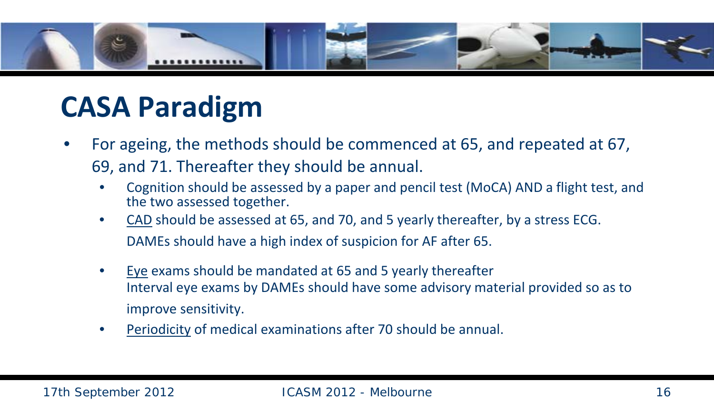

#### **CASA Paradigm**

- For ageing, the methods should be commenced at 65, and repeated at 67, 69, and 71. Thereafter they should be annual.
	- Cognition should be assessed by a paper and pencil test (MoCA) AND a flight test, and the two assessed together.
	- CAD should be assessed at 65, and 70, and 5 yearly thereafter, by a stress ECG. DAMEs should have a high index of suspicion for AF after 65.
	- Eye exams should be mandated at 65 and 5 yearly thereafter Interval eye exams by DAMEs should have some advisory material provided so as to improve sensitivity.
	- Periodicity of medical examinations after 70 should be annual.